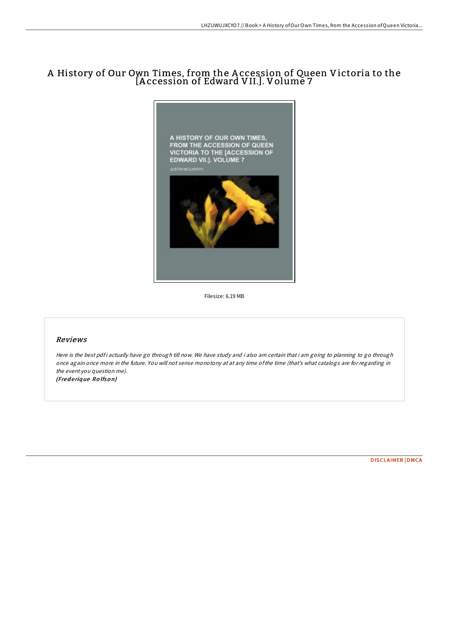## A History of Our Own Times, from the A ccession of Queen Victoria to the [A ccession of Edward VII.]. Volume 7



Filesize: 6.19 MB

## Reviews

Here is the best pdf i actually have go through till now. We have study and i also am certain that i am going to planning to go through once again once more in the future. You will not sense monotony at at any time ofthe time (that's what catalogs are for regarding in the event you question me). (Fred erique Rolfson)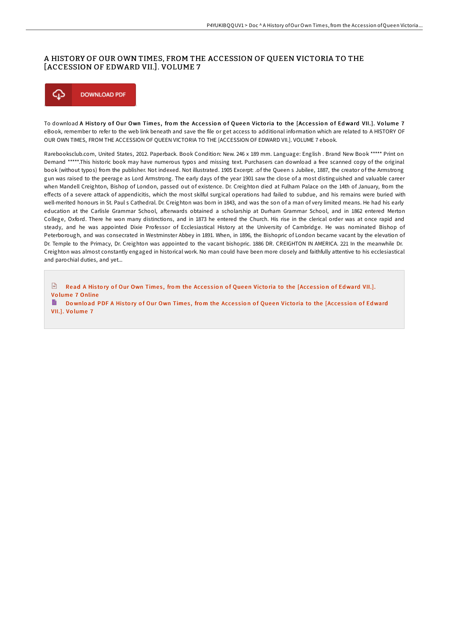## A HISTORY OF OUR OWN TIMES, FROM THE ACCESSION OF QUEEN VICTORIA TO THE [ACCESSION OF EDWARD VII.]. VOLUME 7



To download A History of Our Own Times, from the Accession of Queen Victoria to the [Accession of Edward VII.]. Volume 7 eBook, remember to refer to the web link beneath and save the file or get access to additional information which are related to A HISTORY OF OUR OWN TIMES, FROM THE ACCESSION OF QUEEN VICTORIA TO THE [ACCESSION OF EDWARD VII.]. VOLUME 7 ebook.

Rarebooksclub.com, United States, 2012. Paperback. Book Condition: New. 246 x 189 mm. Language: English . Brand New Book \*\*\*\*\* Print on Demand \*\*\*\*\*.This historic book may have numerous typos and missing text. Purchasers can download a free scanned copy of the original book (without typos) from the publisher. Not indexed. Not illustrated. 1905 Excerpt: .of the Queen s Jubilee, 1887, the creator of the Armstrong gun was raised to the peerage as Lord Armstrong. The early days of the year 1901 saw the close of a most distinguished and valuable career when Mandell Creighton, Bishop of London, passed out of existence. Dr. Creighton died at Fulham Palace on the 14th of January, from the effects of a severe attack of appendicitis, which the most skilful surgical operations had failed to subdue, and his remains were buried with well-merited honours in St. Paul s Cathedral. Dr. Creighton was born in 1843, and was the son of a man of very limited means. He had his early education at the Carlisle Grammar School, afterwards obtained a scholarship at Durham Grammar School, and in 1862 entered Merton College, Oxford. There he won many distinctions, and in 1873 he entered the Church. His rise in the clerical order was at once rapid and steady, and he was appointed Dixie Professor of Ecclesiastical History at the University of Cambridge. He was nominated Bishop of Peterborough, and was consecrated in Westminster Abbey in 1891. When, in 1896, the Bishopric of London became vacant by the elevation of Dr. Temple to the Primacy, Dr. Creighton was appointed to the vacant bishopric. 1886 DR. CREIGHTON IN AMERICA. 221 In the meanwhile Dr. Creighton was almost constantly engaged in historical work. No man could have been more closely and faithfully attentive to his ecclesiastical and parochial duties, and yet...

 $\sqrt{m}$ Read A History of Our Own Times, from the Accession of Queen Victoria to the [Accession of [Edward](http://almighty24.tech/a-history-of-our-own-times-from-the-accession-of.html) VII.]. Vo lume 7 Online

B Do wnload PDF A History of Our Own Times, from the Accession of Queen Victoria to the [Accession of [Edward](http://almighty24.tech/a-history-of-our-own-times-from-the-accession-of.html) VII.]. Vo lume 7